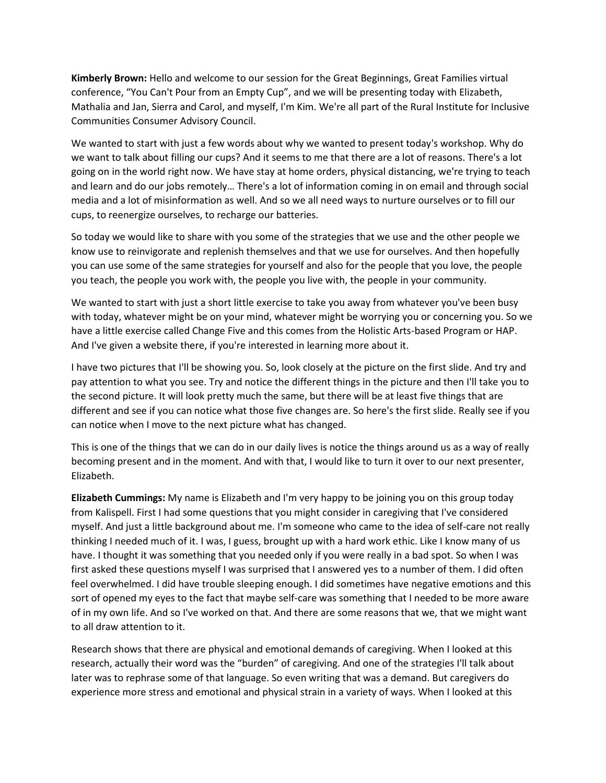**Kimberly Brown:** Hello and welcome to our session for the Great Beginnings, Great Families virtual conference, "You Can't Pour from an Empty Cup", and we will be presenting today with Elizabeth, Mathalia and Jan, Sierra and Carol, and myself, I'm Kim. We're all part of the Rural Institute for Inclusive Communities Consumer Advisory Council.

We wanted to start with just a few words about why we wanted to present today's workshop. Why do we want to talk about filling our cups? And it seems to me that there are a lot of reasons. There's a lot going on in the world right now. We have stay at home orders, physical distancing, we're trying to teach and learn and do our jobs remotely… There's a lot of information coming in on email and through social media and a lot of misinformation as well. And so we all need ways to nurture ourselves or to fill our cups, to reenergize ourselves, to recharge our batteries.

So today we would like to share with you some of the strategies that we use and the other people we know use to reinvigorate and replenish themselves and that we use for ourselves. And then hopefully you can use some of the same strategies for yourself and also for the people that you love, the people you teach, the people you work with, the people you live with, the people in your community.

We wanted to start with just a short little exercise to take you away from whatever you've been busy with today, whatever might be on your mind, whatever might be worrying you or concerning you. So we have a little exercise called Change Five and this comes from the Holistic Arts-based Program or HAP. And I've given a website there, if you're interested in learning more about it.

I have two pictures that I'll be showing you. So, look closely at the picture on the first slide. And try and pay attention to what you see. Try and notice the different things in the picture and then I'll take you to the second picture. It will look pretty much the same, but there will be at least five things that are different and see if you can notice what those five changes are. So here's the first slide. Really see if you can notice when I move to the next picture what has changed.

This is one of the things that we can do in our daily lives is notice the things around us as a way of really becoming present and in the moment. And with that, I would like to turn it over to our next presenter, Elizabeth.

**Elizabeth Cummings:** My name is Elizabeth and I'm very happy to be joining you on this group today from Kalispell. First I had some questions that you might consider in caregiving that I've considered myself. And just a little background about me. I'm someone who came to the idea of self-care not really thinking I needed much of it. I was, I guess, brought up with a hard work ethic. Like I know many of us have. I thought it was something that you needed only if you were really in a bad spot. So when I was first asked these questions myself I was surprised that I answered yes to a number of them. I did often feel overwhelmed. I did have trouble sleeping enough. I did sometimes have negative emotions and this sort of opened my eyes to the fact that maybe self-care was something that I needed to be more aware of in my own life. And so I've worked on that. And there are some reasons that we, that we might want to all draw attention to it.

Research shows that there are physical and emotional demands of caregiving. When I looked at this research, actually their word was the "burden" of caregiving. And one of the strategies I'll talk about later was to rephrase some of that language. So even writing that was a demand. But caregivers do experience more stress and emotional and physical strain in a variety of ways. When I looked at this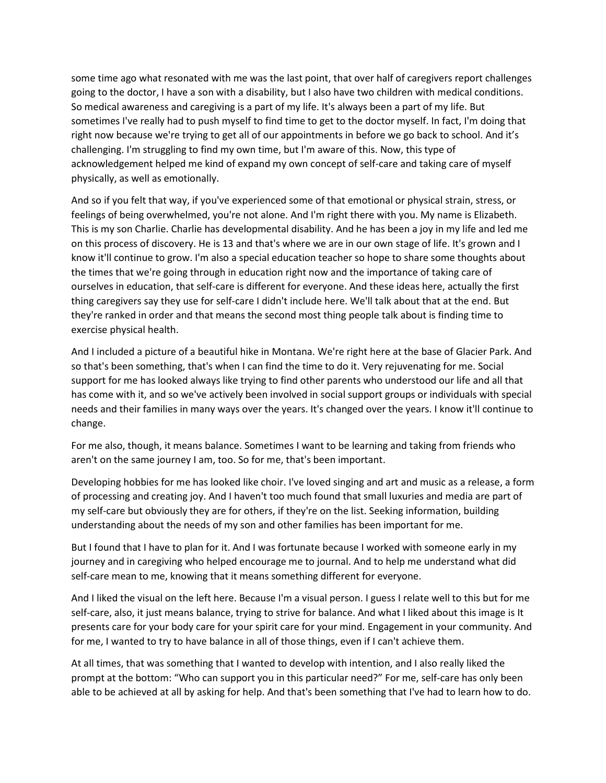some time ago what resonated with me was the last point, that over half of caregivers report challenges going to the doctor, I have a son with a disability, but I also have two children with medical conditions. So medical awareness and caregiving is a part of my life. It's always been a part of my life. But sometimes I've really had to push myself to find time to get to the doctor myself. In fact, I'm doing that right now because we're trying to get all of our appointments in before we go back to school. And it's challenging. I'm struggling to find my own time, but I'm aware of this. Now, this type of acknowledgement helped me kind of expand my own concept of self-care and taking care of myself physically, as well as emotionally.

And so if you felt that way, if you've experienced some of that emotional or physical strain, stress, or feelings of being overwhelmed, you're not alone. And I'm right there with you. My name is Elizabeth. This is my son Charlie. Charlie has developmental disability. And he has been a joy in my life and led me on this process of discovery. He is 13 and that's where we are in our own stage of life. It's grown and I know it'll continue to grow. I'm also a special education teacher so hope to share some thoughts about the times that we're going through in education right now and the importance of taking care of ourselves in education, that self-care is different for everyone. And these ideas here, actually the first thing caregivers say they use for self-care I didn't include here. We'll talk about that at the end. But they're ranked in order and that means the second most thing people talk about is finding time to exercise physical health.

And I included a picture of a beautiful hike in Montana. We're right here at the base of Glacier Park. And so that's been something, that's when I can find the time to do it. Very rejuvenating for me. Social support for me has looked always like trying to find other parents who understood our life and all that has come with it, and so we've actively been involved in social support groups or individuals with special needs and their families in many ways over the years. It's changed over the years. I know it'll continue to change.

For me also, though, it means balance. Sometimes I want to be learning and taking from friends who aren't on the same journey I am, too. So for me, that's been important.

Developing hobbies for me has looked like choir. I've loved singing and art and music as a release, a form of processing and creating joy. And I haven't too much found that small luxuries and media are part of my self-care but obviously they are for others, if they're on the list. Seeking information, building understanding about the needs of my son and other families has been important for me.

But I found that I have to plan for it. And I was fortunate because I worked with someone early in my journey and in caregiving who helped encourage me to journal. And to help me understand what did self-care mean to me, knowing that it means something different for everyone.

And I liked the visual on the left here. Because I'm a visual person. I guess I relate well to this but for me self-care, also, it just means balance, trying to strive for balance. And what I liked about this image is It presents care for your body care for your spirit care for your mind. Engagement in your community. And for me, I wanted to try to have balance in all of those things, even if I can't achieve them.

At all times, that was something that I wanted to develop with intention, and I also really liked the prompt at the bottom: "Who can support you in this particular need?" For me, self-care has only been able to be achieved at all by asking for help. And that's been something that I've had to learn how to do.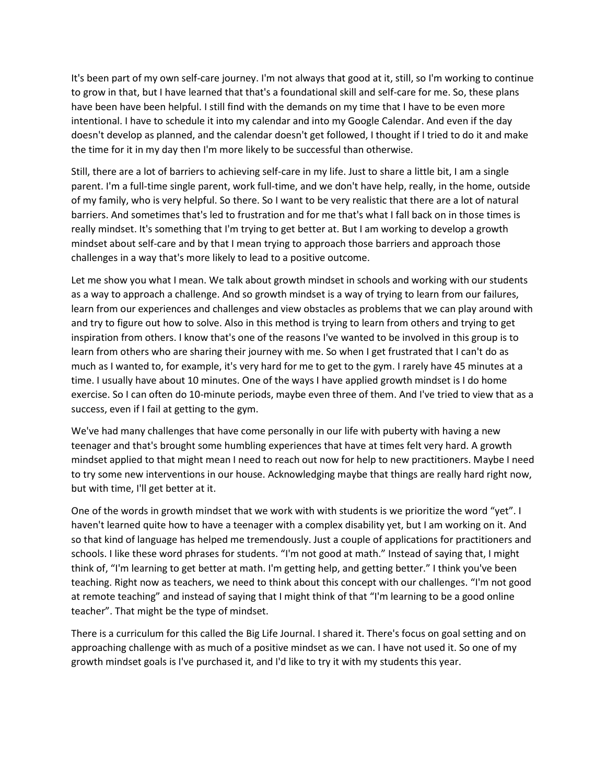It's been part of my own self-care journey. I'm not always that good at it, still, so I'm working to continue to grow in that, but I have learned that that's a foundational skill and self-care for me. So, these plans have been have been helpful. I still find with the demands on my time that I have to be even more intentional. I have to schedule it into my calendar and into my Google Calendar. And even if the day doesn't develop as planned, and the calendar doesn't get followed, I thought if I tried to do it and make the time for it in my day then I'm more likely to be successful than otherwise.

Still, there are a lot of barriers to achieving self-care in my life. Just to share a little bit, I am a single parent. I'm a full-time single parent, work full-time, and we don't have help, really, in the home, outside of my family, who is very helpful. So there. So I want to be very realistic that there are a lot of natural barriers. And sometimes that's led to frustration and for me that's what I fall back on in those times is really mindset. It's something that I'm trying to get better at. But I am working to develop a growth mindset about self-care and by that I mean trying to approach those barriers and approach those challenges in a way that's more likely to lead to a positive outcome.

Let me show you what I mean. We talk about growth mindset in schools and working with our students as a way to approach a challenge. And so growth mindset is a way of trying to learn from our failures, learn from our experiences and challenges and view obstacles as problems that we can play around with and try to figure out how to solve. Also in this method is trying to learn from others and trying to get inspiration from others. I know that's one of the reasons I've wanted to be involved in this group is to learn from others who are sharing their journey with me. So when I get frustrated that I can't do as much as I wanted to, for example, it's very hard for me to get to the gym. I rarely have 45 minutes at a time. I usually have about 10 minutes. One of the ways I have applied growth mindset is I do home exercise. So I can often do 10-minute periods, maybe even three of them. And I've tried to view that as a success, even if I fail at getting to the gym.

We've had many challenges that have come personally in our life with puberty with having a new teenager and that's brought some humbling experiences that have at times felt very hard. A growth mindset applied to that might mean I need to reach out now for help to new practitioners. Maybe I need to try some new interventions in our house. Acknowledging maybe that things are really hard right now, but with time, I'll get better at it.

One of the words in growth mindset that we work with with students is we prioritize the word "yet". I haven't learned quite how to have a teenager with a complex disability yet, but I am working on it. And so that kind of language has helped me tremendously. Just a couple of applications for practitioners and schools. I like these word phrases for students. "I'm not good at math." Instead of saying that, I might think of, "I'm learning to get better at math. I'm getting help, and getting better." I think you've been teaching. Right now as teachers, we need to think about this concept with our challenges. "I'm not good at remote teaching" and instead of saying that I might think of that "I'm learning to be a good online teacher". That might be the type of mindset.

There is a curriculum for this called the Big Life Journal. I shared it. There's focus on goal setting and on approaching challenge with as much of a positive mindset as we can. I have not used it. So one of my growth mindset goals is I've purchased it, and I'd like to try it with my students this year.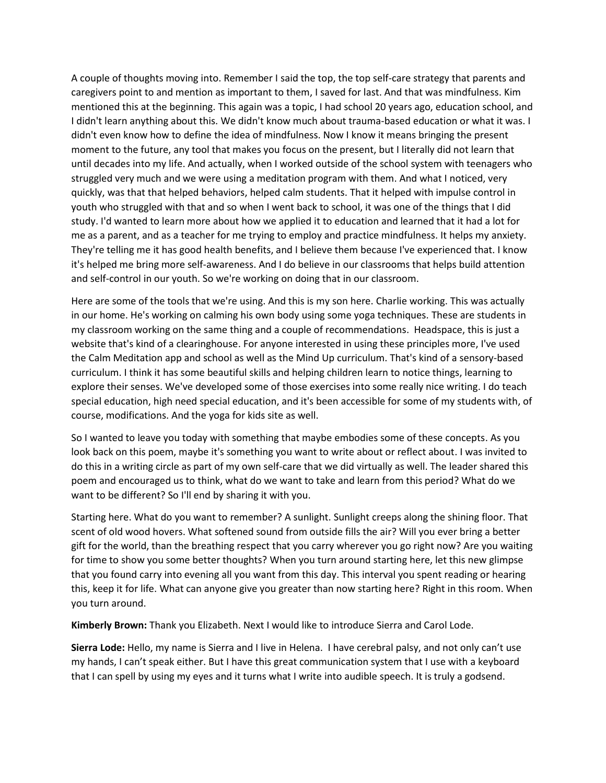A couple of thoughts moving into. Remember I said the top, the top self-care strategy that parents and caregivers point to and mention as important to them, I saved for last. And that was mindfulness. Kim mentioned this at the beginning. This again was a topic, I had school 20 years ago, education school, and I didn't learn anything about this. We didn't know much about trauma-based education or what it was. I didn't even know how to define the idea of mindfulness. Now I know it means bringing the present moment to the future, any tool that makes you focus on the present, but I literally did not learn that until decades into my life. And actually, when I worked outside of the school system with teenagers who struggled very much and we were using a meditation program with them. And what I noticed, very quickly, was that that helped behaviors, helped calm students. That it helped with impulse control in youth who struggled with that and so when I went back to school, it was one of the things that I did study. I'd wanted to learn more about how we applied it to education and learned that it had a lot for me as a parent, and as a teacher for me trying to employ and practice mindfulness. It helps my anxiety. They're telling me it has good health benefits, and I believe them because I've experienced that. I know it's helped me bring more self-awareness. And I do believe in our classrooms that helps build attention and self-control in our youth. So we're working on doing that in our classroom.

Here are some of the tools that we're using. And this is my son here. Charlie working. This was actually in our home. He's working on calming his own body using some yoga techniques. These are students in my classroom working on the same thing and a couple of recommendations. Headspace, this is just a website that's kind of a clearinghouse. For anyone interested in using these principles more, I've used the Calm Meditation app and school as well as the Mind Up curriculum. That's kind of a sensory-based curriculum. I think it has some beautiful skills and helping children learn to notice things, learning to explore their senses. We've developed some of those exercises into some really nice writing. I do teach special education, high need special education, and it's been accessible for some of my students with, of course, modifications. And the yoga for kids site as well.

So I wanted to leave you today with something that maybe embodies some of these concepts. As you look back on this poem, maybe it's something you want to write about or reflect about. I was invited to do this in a writing circle as part of my own self-care that we did virtually as well. The leader shared this poem and encouraged us to think, what do we want to take and learn from this period? What do we want to be different? So I'll end by sharing it with you.

Starting here. What do you want to remember? A sunlight. Sunlight creeps along the shining floor. That scent of old wood hovers. What softened sound from outside fills the air? Will you ever bring a better gift for the world, than the breathing respect that you carry wherever you go right now? Are you waiting for time to show you some better thoughts? When you turn around starting here, let this new glimpse that you found carry into evening all you want from this day. This interval you spent reading or hearing this, keep it for life. What can anyone give you greater than now starting here? Right in this room. When you turn around.

**Kimberly Brown:** Thank you Elizabeth. Next I would like to introduce Sierra and Carol Lode.

**Sierra Lode:** Hello, my name is Sierra and I live in Helena. I have cerebral palsy, and not only can't use my hands, I can't speak either. But I have this great communication system that I use with a keyboard that I can spell by using my eyes and it turns what I write into audible speech. It is truly a godsend.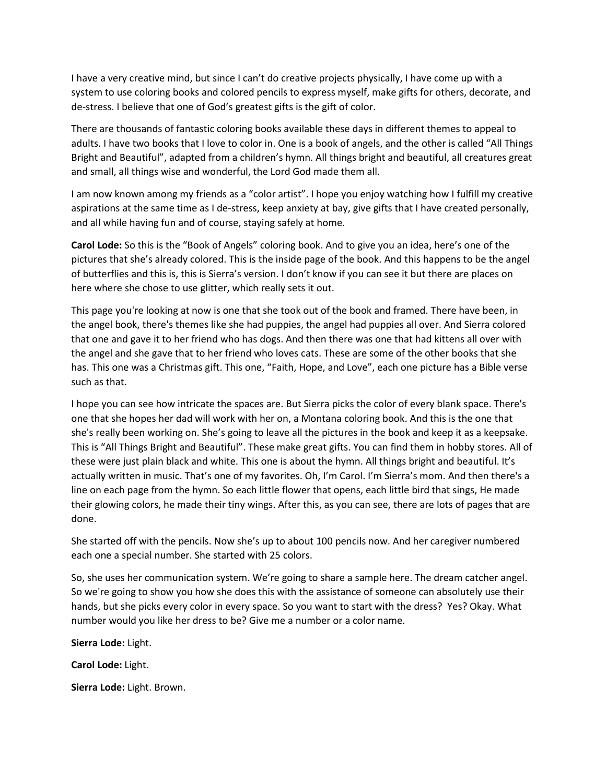I have a very creative mind, but since I can't do creative projects physically, I have come up with a system to use coloring books and colored pencils to express myself, make gifts for others, decorate, and de-stress. I believe that one of God's greatest gifts is the gift of color.

There are thousands of fantastic coloring books available these days in different themes to appeal to adults. I have two books that I love to color in. One is a book of angels, and the other is called "All Things Bright and Beautiful", adapted from a children's hymn. All things bright and beautiful, all creatures great and small, all things wise and wonderful, the Lord God made them all.

I am now known among my friends as a "color artist". I hope you enjoy watching how I fulfill my creative aspirations at the same time as I de-stress, keep anxiety at bay, give gifts that I have created personally, and all while having fun and of course, staying safely at home.

**Carol Lode:** So this is the "Book of Angels" coloring book. And to give you an idea, here's one of the pictures that she's already colored. This is the inside page of the book. And this happens to be the angel of butterflies and this is, this is Sierra's version. I don't know if you can see it but there are places on here where she chose to use glitter, which really sets it out.

This page you're looking at now is one that she took out of the book and framed. There have been, in the angel book, there's themes like she had puppies, the angel had puppies all over. And Sierra colored that one and gave it to her friend who has dogs. And then there was one that had kittens all over with the angel and she gave that to her friend who loves cats. These are some of the other books that she has. This one was a Christmas gift. This one, "Faith, Hope, and Love", each one picture has a Bible verse such as that.

I hope you can see how intricate the spaces are. But Sierra picks the color of every blank space. There's one that she hopes her dad will work with her on, a Montana coloring book. And this is the one that she's really been working on. She's going to leave all the pictures in the book and keep it as a keepsake. This is "All Things Bright and Beautiful". These make great gifts. You can find them in hobby stores. All of these were just plain black and white. This one is about the hymn. All things bright and beautiful. It's actually written in music. That's one of my favorites. Oh, I'm Carol. I'm Sierra's mom. And then there's a line on each page from the hymn. So each little flower that opens, each little bird that sings, He made their glowing colors, he made their tiny wings. After this, as you can see, there are lots of pages that are done.

She started off with the pencils. Now she's up to about 100 pencils now. And her caregiver numbered each one a special number. She started with 25 colors.

So, she uses her communication system. We're going to share a sample here. The dream catcher angel. So we're going to show you how she does this with the assistance of someone can absolutely use their hands, but she picks every color in every space. So you want to start with the dress? Yes? Okay. What number would you like her dress to be? Give me a number or a color name.

**Sierra Lode:** Light.

**Carol Lode:** Light.

**Sierra Lode:** Light. Brown.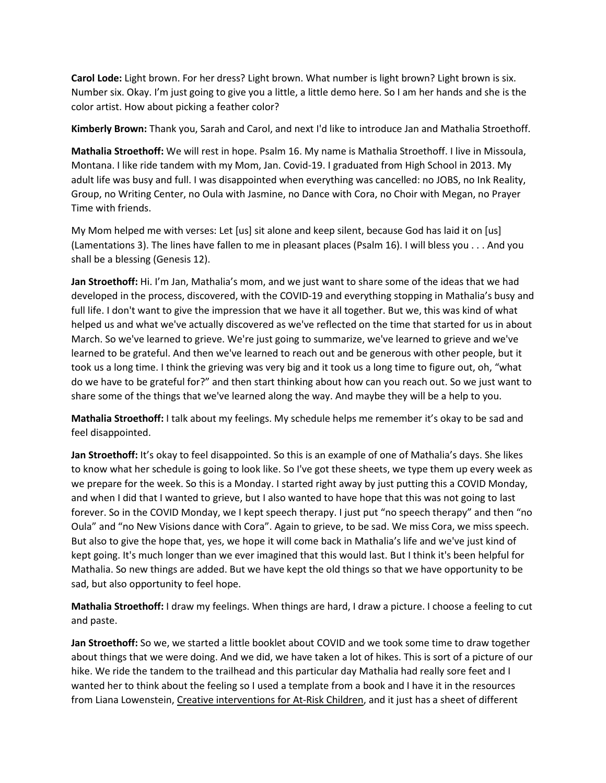**Carol Lode:** Light brown. For her dress? Light brown. What number is light brown? Light brown is six. Number six. Okay. I'm just going to give you a little, a little demo here. So I am her hands and she is the color artist. How about picking a feather color?

**Kimberly Brown:** Thank you, Sarah and Carol, and next I'd like to introduce Jan and Mathalia Stroethoff.

**Mathalia Stroethoff:** We will rest in hope. Psalm 16. My name is Mathalia Stroethoff. I live in Missoula, Montana. I like ride tandem with my Mom, Jan. Covid-19. I graduated from High School in 2013. My adult life was busy and full. I was disappointed when everything was cancelled: no JOBS, no Ink Reality, Group, no Writing Center, no Oula with Jasmine, no Dance with Cora, no Choir with Megan, no Prayer Time with friends.

My Mom helped me with verses: Let [us] sit alone and keep silent, because God has laid it on [us] (Lamentations 3). The lines have fallen to me in pleasant places (Psalm 16). I will bless you . . . And you shall be a blessing (Genesis 12).

**Jan Stroethoff:** Hi. I'm Jan, Mathalia's mom, and we just want to share some of the ideas that we had developed in the process, discovered, with the COVID-19 and everything stopping in Mathalia's busy and full life. I don't want to give the impression that we have it all together. But we, this was kind of what helped us and what we've actually discovered as we've reflected on the time that started for us in about March. So we've learned to grieve. We're just going to summarize, we've learned to grieve and we've learned to be grateful. And then we've learned to reach out and be generous with other people, but it took us a long time. I think the grieving was very big and it took us a long time to figure out, oh, "what do we have to be grateful for?" and then start thinking about how can you reach out. So we just want to share some of the things that we've learned along the way. And maybe they will be a help to you.

**Mathalia Stroethoff:** I talk about my feelings. My schedule helps me remember it's okay to be sad and feel disappointed.

**Jan Stroethoff:** It's okay to feel disappointed. So this is an example of one of Mathalia's days. She likes to know what her schedule is going to look like. So I've got these sheets, we type them up every week as we prepare for the week. So this is a Monday. I started right away by just putting this a COVID Monday, and when I did that I wanted to grieve, but I also wanted to have hope that this was not going to last forever. So in the COVID Monday, we I kept speech therapy. I just put "no speech therapy" and then "no Oula" and "no New Visions dance with Cora". Again to grieve, to be sad. We miss Cora, we miss speech. But also to give the hope that, yes, we hope it will come back in Mathalia's life and we've just kind of kept going. It's much longer than we ever imagined that this would last. But I think it's been helpful for Mathalia. So new things are added. But we have kept the old things so that we have opportunity to be sad, but also opportunity to feel hope.

**Mathalia Stroethoff:** I draw my feelings. When things are hard, I draw a picture. I choose a feeling to cut and paste.

**Jan Stroethoff:** So we, we started a little booklet about COVID and we took some time to draw together about things that we were doing. And we did, we have taken a lot of hikes. This is sort of a picture of our hike. We ride the tandem to the trailhead and this particular day Mathalia had really sore feet and I wanted her to think about the feeling so I used a template from a book and I have it in the resources from Liana Lowenstein, Creative interventions for At-Risk Children, and it just has a sheet of different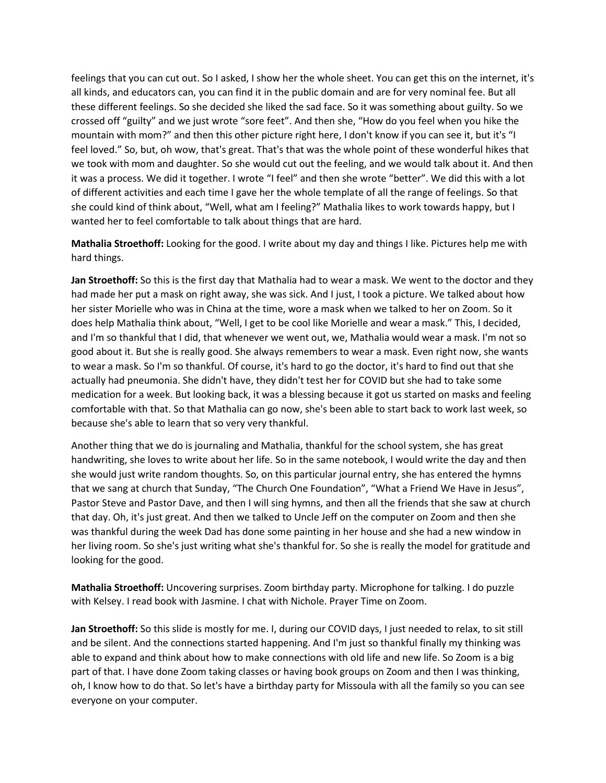feelings that you can cut out. So I asked, I show her the whole sheet. You can get this on the internet, it's all kinds, and educators can, you can find it in the public domain and are for very nominal fee. But all these different feelings. So she decided she liked the sad face. So it was something about guilty. So we crossed off "guilty" and we just wrote "sore feet". And then she, "How do you feel when you hike the mountain with mom?" and then this other picture right here, I don't know if you can see it, but it's "I feel loved." So, but, oh wow, that's great. That's that was the whole point of these wonderful hikes that we took with mom and daughter. So she would cut out the feeling, and we would talk about it. And then it was a process. We did it together. I wrote "I feel" and then she wrote "better". We did this with a lot of different activities and each time I gave her the whole template of all the range of feelings. So that she could kind of think about, "Well, what am I feeling?" Mathalia likes to work towards happy, but I wanted her to feel comfortable to talk about things that are hard.

**Mathalia Stroethoff:** Looking for the good. I write about my day and things I like. Pictures help me with hard things.

**Jan Stroethoff:** So this is the first day that Mathalia had to wear a mask. We went to the doctor and they had made her put a mask on right away, she was sick. And I just, I took a picture. We talked about how her sister Morielle who was in China at the time, wore a mask when we talked to her on Zoom. So it does help Mathalia think about, "Well, I get to be cool like Morielle and wear a mask." This, I decided, and I'm so thankful that I did, that whenever we went out, we, Mathalia would wear a mask. I'm not so good about it. But she is really good. She always remembers to wear a mask. Even right now, she wants to wear a mask. So I'm so thankful. Of course, it's hard to go the doctor, it's hard to find out that she actually had pneumonia. She didn't have, they didn't test her for COVID but she had to take some medication for a week. But looking back, it was a blessing because it got us started on masks and feeling comfortable with that. So that Mathalia can go now, she's been able to start back to work last week, so because she's able to learn that so very very thankful.

Another thing that we do is journaling and Mathalia, thankful for the school system, she has great handwriting, she loves to write about her life. So in the same notebook, I would write the day and then she would just write random thoughts. So, on this particular journal entry, she has entered the hymns that we sang at church that Sunday, "The Church One Foundation", "What a Friend We Have in Jesus", Pastor Steve and Pastor Dave, and then I will sing hymns, and then all the friends that she saw at church that day. Oh, it's just great. And then we talked to Uncle Jeff on the computer on Zoom and then she was thankful during the week Dad has done some painting in her house and she had a new window in her living room. So she's just writing what she's thankful for. So she is really the model for gratitude and looking for the good.

**Mathalia Stroethoff:** Uncovering surprises. Zoom birthday party. Microphone for talking. I do puzzle with Kelsey. I read book with Jasmine. I chat with Nichole. Prayer Time on Zoom.

**Jan Stroethoff:** So this slide is mostly for me. I, during our COVID days, I just needed to relax, to sit still and be silent. And the connections started happening. And I'm just so thankful finally my thinking was able to expand and think about how to make connections with old life and new life. So Zoom is a big part of that. I have done Zoom taking classes or having book groups on Zoom and then I was thinking, oh, I know how to do that. So let's have a birthday party for Missoula with all the family so you can see everyone on your computer.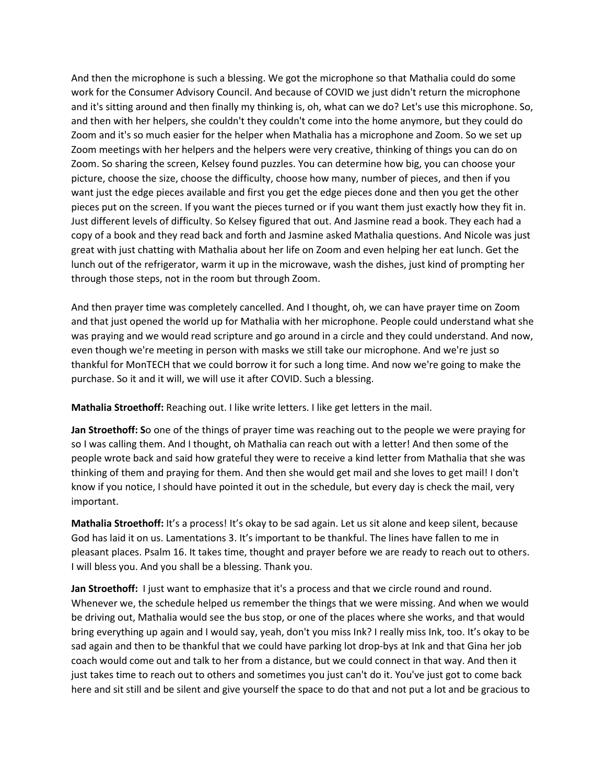And then the microphone is such a blessing. We got the microphone so that Mathalia could do some work for the Consumer Advisory Council. And because of COVID we just didn't return the microphone and it's sitting around and then finally my thinking is, oh, what can we do? Let's use this microphone. So, and then with her helpers, she couldn't they couldn't come into the home anymore, but they could do Zoom and it's so much easier for the helper when Mathalia has a microphone and Zoom. So we set up Zoom meetings with her helpers and the helpers were very creative, thinking of things you can do on Zoom. So sharing the screen, Kelsey found puzzles. You can determine how big, you can choose your picture, choose the size, choose the difficulty, choose how many, number of pieces, and then if you want just the edge pieces available and first you get the edge pieces done and then you get the other pieces put on the screen. If you want the pieces turned or if you want them just exactly how they fit in. Just different levels of difficulty. So Kelsey figured that out. And Jasmine read a book. They each had a copy of a book and they read back and forth and Jasmine asked Mathalia questions. And Nicole was just great with just chatting with Mathalia about her life on Zoom and even helping her eat lunch. Get the lunch out of the refrigerator, warm it up in the microwave, wash the dishes, just kind of prompting her through those steps, not in the room but through Zoom.

And then prayer time was completely cancelled. And I thought, oh, we can have prayer time on Zoom and that just opened the world up for Mathalia with her microphone. People could understand what she was praying and we would read scripture and go around in a circle and they could understand. And now, even though we're meeting in person with masks we still take our microphone. And we're just so thankful for MonTECH that we could borrow it for such a long time. And now we're going to make the purchase. So it and it will, we will use it after COVID. Such a blessing.

**Mathalia Stroethoff:** Reaching out. I like write letters. I like get letters in the mail.

**Jan Stroethoff: S**o one of the things of prayer time was reaching out to the people we were praying for so I was calling them. And I thought, oh Mathalia can reach out with a letter! And then some of the people wrote back and said how grateful they were to receive a kind letter from Mathalia that she was thinking of them and praying for them. And then she would get mail and she loves to get mail! I don't know if you notice, I should have pointed it out in the schedule, but every day is check the mail, very important.

**Mathalia Stroethoff:** It's a process! It's okay to be sad again. Let us sit alone and keep silent, because God has laid it on us. Lamentations 3. It's important to be thankful. The lines have fallen to me in pleasant places. Psalm 16. It takes time, thought and prayer before we are ready to reach out to others. I will bless you. And you shall be a blessing. Thank you.

**Jan Stroethoff:** I just want to emphasize that it's a process and that we circle round and round. Whenever we, the schedule helped us remember the things that we were missing. And when we would be driving out, Mathalia would see the bus stop, or one of the places where she works, and that would bring everything up again and I would say, yeah, don't you miss Ink? I really miss Ink, too. It's okay to be sad again and then to be thankful that we could have parking lot drop-bys at Ink and that Gina her job coach would come out and talk to her from a distance, but we could connect in that way. And then it just takes time to reach out to others and sometimes you just can't do it. You've just got to come back here and sit still and be silent and give yourself the space to do that and not put a lot and be gracious to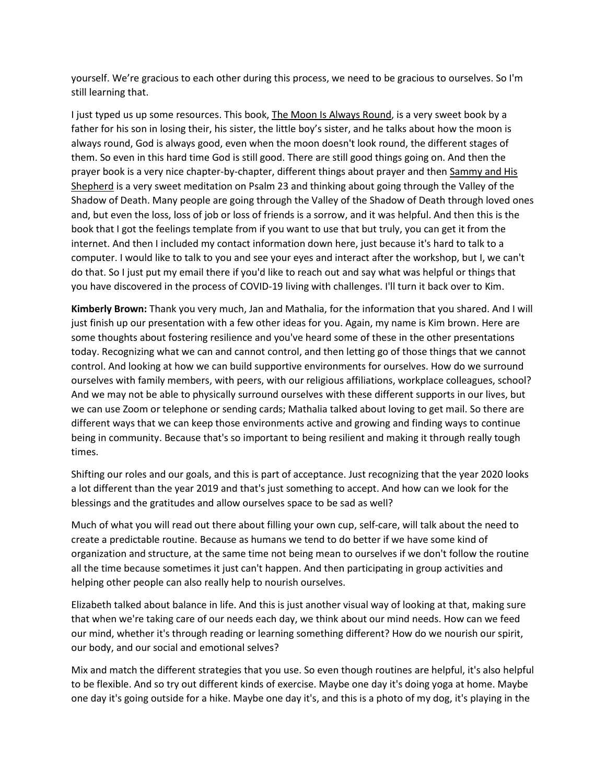yourself. We're gracious to each other during this process, we need to be gracious to ourselves. So I'm still learning that.

I just typed us up some resources. This book, The Moon Is Always Round, is a very sweet book by a father for his son in losing their, his sister, the little boy's sister, and he talks about how the moon is always round, God is always good, even when the moon doesn't look round, the different stages of them. So even in this hard time God is still good. There are still good things going on. And then the prayer book is a very nice chapter-by-chapter, different things about prayer and then Sammy and His Shepherd is a very sweet meditation on Psalm 23 and thinking about going through the Valley of the Shadow of Death. Many people are going through the Valley of the Shadow of Death through loved ones and, but even the loss, loss of job or loss of friends is a sorrow, and it was helpful. And then this is the book that I got the feelings template from if you want to use that but truly, you can get it from the internet. And then I included my contact information down here, just because it's hard to talk to a computer. I would like to talk to you and see your eyes and interact after the workshop, but I, we can't do that. So I just put my email there if you'd like to reach out and say what was helpful or things that you have discovered in the process of COVID-19 living with challenges. I'll turn it back over to Kim.

**Kimberly Brown:** Thank you very much, Jan and Mathalia, for the information that you shared. And I will just finish up our presentation with a few other ideas for you. Again, my name is Kim brown. Here are some thoughts about fostering resilience and you've heard some of these in the other presentations today. Recognizing what we can and cannot control, and then letting go of those things that we cannot control. And looking at how we can build supportive environments for ourselves. How do we surround ourselves with family members, with peers, with our religious affiliations, workplace colleagues, school? And we may not be able to physically surround ourselves with these different supports in our lives, but we can use Zoom or telephone or sending cards; Mathalia talked about loving to get mail. So there are different ways that we can keep those environments active and growing and finding ways to continue being in community. Because that's so important to being resilient and making it through really tough times.

Shifting our roles and our goals, and this is part of acceptance. Just recognizing that the year 2020 looks a lot different than the year 2019 and that's just something to accept. And how can we look for the blessings and the gratitudes and allow ourselves space to be sad as well?

Much of what you will read out there about filling your own cup, self-care, will talk about the need to create a predictable routine. Because as humans we tend to do better if we have some kind of organization and structure, at the same time not being mean to ourselves if we don't follow the routine all the time because sometimes it just can't happen. And then participating in group activities and helping other people can also really help to nourish ourselves.

Elizabeth talked about balance in life. And this is just another visual way of looking at that, making sure that when we're taking care of our needs each day, we think about our mind needs. How can we feed our mind, whether it's through reading or learning something different? How do we nourish our spirit, our body, and our social and emotional selves?

Mix and match the different strategies that you use. So even though routines are helpful, it's also helpful to be flexible. And so try out different kinds of exercise. Maybe one day it's doing yoga at home. Maybe one day it's going outside for a hike. Maybe one day it's, and this is a photo of my dog, it's playing in the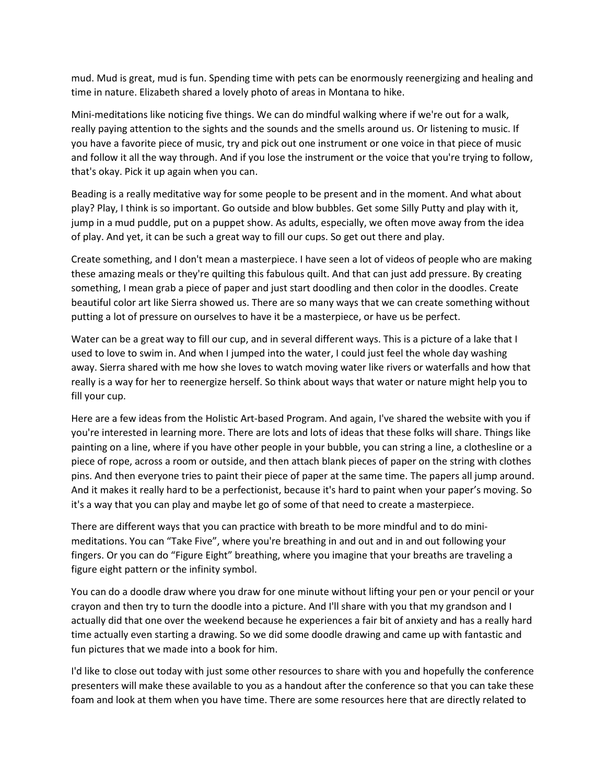mud. Mud is great, mud is fun. Spending time with pets can be enormously reenergizing and healing and time in nature. Elizabeth shared a lovely photo of areas in Montana to hike.

Mini-meditations like noticing five things. We can do mindful walking where if we're out for a walk, really paying attention to the sights and the sounds and the smells around us. Or listening to music. If you have a favorite piece of music, try and pick out one instrument or one voice in that piece of music and follow it all the way through. And if you lose the instrument or the voice that you're trying to follow, that's okay. Pick it up again when you can.

Beading is a really meditative way for some people to be present and in the moment. And what about play? Play, I think is so important. Go outside and blow bubbles. Get some Silly Putty and play with it, jump in a mud puddle, put on a puppet show. As adults, especially, we often move away from the idea of play. And yet, it can be such a great way to fill our cups. So get out there and play.

Create something, and I don't mean a masterpiece. I have seen a lot of videos of people who are making these amazing meals or they're quilting this fabulous quilt. And that can just add pressure. By creating something, I mean grab a piece of paper and just start doodling and then color in the doodles. Create beautiful color art like Sierra showed us. There are so many ways that we can create something without putting a lot of pressure on ourselves to have it be a masterpiece, or have us be perfect.

Water can be a great way to fill our cup, and in several different ways. This is a picture of a lake that I used to love to swim in. And when I jumped into the water, I could just feel the whole day washing away. Sierra shared with me how she loves to watch moving water like rivers or waterfalls and how that really is a way for her to reenergize herself. So think about ways that water or nature might help you to fill your cup.

Here are a few ideas from the Holistic Art-based Program. And again, I've shared the website with you if you're interested in learning more. There are lots and lots of ideas that these folks will share. Things like painting on a line, where if you have other people in your bubble, you can string a line, a clothesline or a piece of rope, across a room or outside, and then attach blank pieces of paper on the string with clothes pins. And then everyone tries to paint their piece of paper at the same time. The papers all jump around. And it makes it really hard to be a perfectionist, because it's hard to paint when your paper's moving. So it's a way that you can play and maybe let go of some of that need to create a masterpiece.

There are different ways that you can practice with breath to be more mindful and to do minimeditations. You can "Take Five", where you're breathing in and out and in and out following your fingers. Or you can do "Figure Eight" breathing, where you imagine that your breaths are traveling a figure eight pattern or the infinity symbol.

You can do a doodle draw where you draw for one minute without lifting your pen or your pencil or your crayon and then try to turn the doodle into a picture. And I'll share with you that my grandson and I actually did that one over the weekend because he experiences a fair bit of anxiety and has a really hard time actually even starting a drawing. So we did some doodle drawing and came up with fantastic and fun pictures that we made into a book for him.

I'd like to close out today with just some other resources to share with you and hopefully the conference presenters will make these available to you as a handout after the conference so that you can take these foam and look at them when you have time. There are some resources here that are directly related to